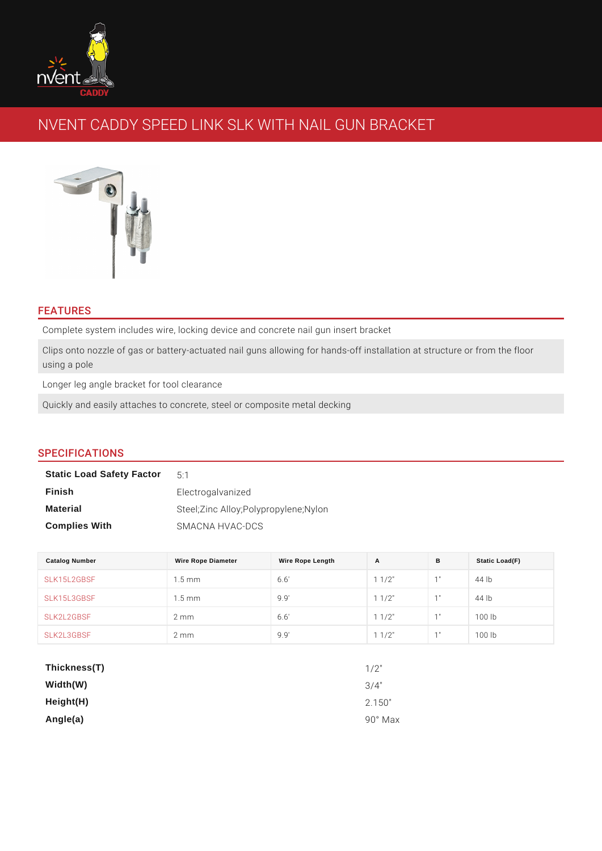## FEATURES

Complete system includes wire, locking device and concrete nail gun insert brad Clips onto nozzle of gas or battery-actuated nail guns allowing for hands-off in using a pole

Longer leg angle bracket for tool clearance

Quickly and easily attaches to concrete, steel or composite metal decking

# SPECIFICATIONS

| <b>Static Load Safety Factor</b> | $5 \cdot 1$                             |
|----------------------------------|-----------------------------------------|
| Finish                           | Electrogalvanized                       |
| Material                         | Steel; Zinc Alloy; Polypropylene; Nylon |
| <b>Complies With</b>             | SMACNA HVAC-DCS                         |

| Catalog Number | Wire Rope Diameter | Wire Rope Length | A           | B  | Static Load(F) |
|----------------|--------------------|------------------|-------------|----|----------------|
| SLK15L2GBSF    | 1.5 m m            | 6.6'             | $1 \t1/2$ " | 1" | 44 lb          |
| SLK15L3GBSF    | 1.5 m m            | 9.9'             | $1 \t1/2$ " | 1" | $44$ lb        |
| SLK2L2GBSF     | $2 \text{ mm}$     | 6.6'             | $1 \t1/2$ " | 1" | 100 lb         |
| SLK2L3GBSF     | 2 m m              | 9.9'             | $1 \t1/2$ " | 1" | 100 lb         |

| Thickness(T) | $1/2$ "    |
|--------------|------------|
| Width(W)     | $3/4$ "    |
| Height(H)    | 2.150"     |
| Angle(a)     | Max<br>90° |